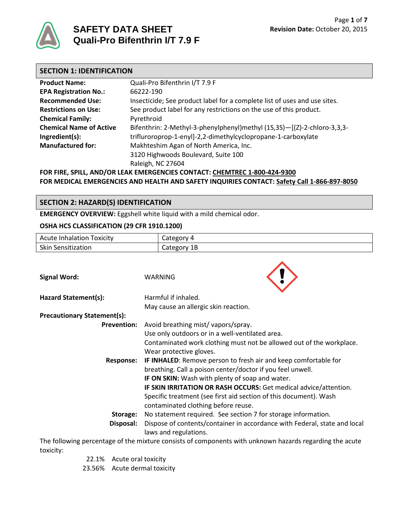

# **SAFETY DATA SHEET Quali-Pro Bifenthrin I/T 7.9 F**

| <b>SECTION 1: IDENTIFICATION</b> |                                                                           |
|----------------------------------|---------------------------------------------------------------------------|
| <b>Product Name:</b>             | Quali-Pro Bifenthrin I/T 7.9 F                                            |
| <b>EPA Registration No.:</b>     | 66222-190                                                                 |
| <b>Recommended Use:</b>          | Insecticide; See product label for a complete list of uses and use sites. |
| <b>Restrictions on Use:</b>      | See product label for any restrictions on the use of this product.        |
| <b>Chemical Family:</b>          | Pyrethroid                                                                |
| <b>Chemical Name of Active</b>   | Bifenthrin: 2-Methyl-3-phenylphenyl)methyl (1S,3S)-[(Z)-2-chloro-3,3,3-   |
| Ingredient(s):                   | trifluroroprop-1-enyl]-2,2-dimethylcyclopropane-1-carboxylate             |
| <b>Manufactured for:</b>         | Makhteshim Agan of North America, Inc.                                    |
|                                  | 3120 Highwoods Boulevard, Suite 100                                       |
|                                  | Raleigh, NC 27604                                                         |

**FOR FIRE, SPILL, AND/OR LEAK EMERGENCIES CONTACT: CHEMTREC 1-800-424-9300 FOR MEDICAL EMERGENCIES AND HEALTH AND SAFETY INQUIRIES CONTACT: Safety Call 1-866-897-8050**

# **SECTION 2: HAZARD(S) IDENTIFICATION**

**EMERGENCY OVERVIEW:** Eggshell white liquid with a mild chemical odor.

#### **OSHA HCS CLASSIFICATION (29 CFR 1910.1200)**

| <b>Acute Inhalation Toxicity</b> | Category 4  |  |
|----------------------------------|-------------|--|
| <b>Skin Sensitization</b>        | Category 1B |  |
| <b>Signal Word:</b>              | WARNING     |  |
|                                  |             |  |

| Hazard Statement(s):               | Harmful if inhaled.                                                       |
|------------------------------------|---------------------------------------------------------------------------|
|                                    | May cause an allergic skin reaction.                                      |
| <b>Precautionary Statement(s):</b> |                                                                           |
| <b>Prevention:</b>                 | Avoid breathing mist/vapors/spray.                                        |
|                                    | Use only outdoors or in a well-ventilated area.                           |
|                                    | Contaminated work clothing must not be allowed out of the workplace.      |
|                                    | Wear protective gloves.                                                   |
| <b>Response:</b>                   | IF INHALED: Remove person to fresh air and keep comfortable for           |
|                                    | breathing. Call a poison center/doctor if you feel unwell.                |
|                                    | IF ON SKIN: Wash with plenty of soap and water.                           |
|                                    | IF SKIN IRRITATION OR RASH OCCURS: Get medical advice/attention.          |
|                                    | Specific treatment (see first aid section of this document). Wash         |
|                                    | contaminated clothing before reuse.                                       |
| Storage:                           | No statement required. See section 7 for storage information.             |
| Disposal:                          | Dispose of contents/container in accordance with Federal, state and local |
|                                    | laws and regulations.                                                     |
|                                    |                                                                           |

The following percentage of the mixture consists of components with unknown hazards regarding the acute toxicity:

22.1% Acute oral toxicity

23.56% Acute dermal toxicity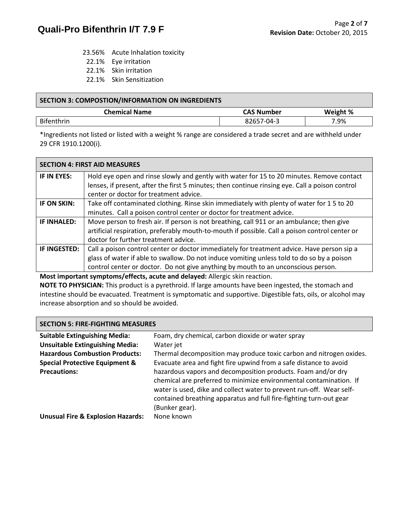- 23.56% Acute Inhalation toxicity
- 22.1% Eye irritation
- 22.1% Skin irritation
- 22.1% Skin Sensitization

| SECTION 3: COMPOSTION/INFORMATION ON INGREDIENTS |                   |          |
|--------------------------------------------------|-------------------|----------|
| <b>Chemical Name</b>                             | <b>CAS Number</b> | Weight % |
| <b>Bifenthrin</b>                                | 82657-04-3        | 7.9%     |

\*Ingredients not listed or listed with a weight % range are considered a trade secret and are withheld under 29 CFR 1910.1200(i).

|                     | <b>SECTION 4: FIRST AID MEASURES</b>                                                            |
|---------------------|-------------------------------------------------------------------------------------------------|
| IF IN EYES:         | Hold eye open and rinse slowly and gently with water for 15 to 20 minutes. Remove contact       |
|                     | lenses, if present, after the first 5 minutes; then continue rinsing eye. Call a poison control |
|                     | center or doctor for treatment advice.                                                          |
| IF ON SKIN:         | Take off contaminated clothing. Rinse skin immediately with plenty of water for 15 to 20        |
|                     | minutes. Call a poison control center or doctor for treatment advice.                           |
| IF INHALED:         | Move person to fresh air. If person is not breathing, call 911 or an ambulance; then give       |
|                     | artificial respiration, preferably mouth-to-mouth if possible. Call a poison control center or  |
|                     | doctor for further treatment advice.                                                            |
| <b>IF INGESTED:</b> | Call a poison control center or doctor immediately for treatment advice. Have person sip a      |
|                     | glass of water if able to swallow. Do not induce vomiting unless told to do so by a poison      |
|                     | control center or doctor. Do not give anything by mouth to an unconscious person.               |

**Most important symptoms/effects, acute and delayed:** Allergic skin reaction.

**NOTE TO PHYSICIAN:** This product is a pyrethroid. If large amounts have been ingested, the stomach and intestine should be evacuated. Treatment is symptomatic and supportive. Digestible fats, oils, or alcohol may increase absorption and so should be avoided.

# **SECTION 5: FIRE-FIGHTING MEASURES**

| <b>Suitable Extinguishing Media:</b>         | Foam, dry chemical, carbon dioxide or water spray                    |
|----------------------------------------------|----------------------------------------------------------------------|
| <b>Unsuitable Extinguishing Media:</b>       | Water jet                                                            |
| <b>Hazardous Combustion Products:</b>        | Thermal decomposition may produce toxic carbon and nitrogen oxides.  |
| <b>Special Protective Equipment &amp;</b>    | Evacuate area and fight fire upwind from a safe distance to avoid    |
| <b>Precautions:</b>                          | hazardous vapors and decomposition products. Foam and/or dry         |
|                                              | chemical are preferred to minimize environmental contamination. If   |
|                                              | water is used, dike and collect water to prevent run-off. Wear self- |
|                                              | contained breathing apparatus and full fire-fighting turn-out gear   |
|                                              | (Bunker gear).                                                       |
| <b>Unusual Fire &amp; Explosion Hazards:</b> | None known                                                           |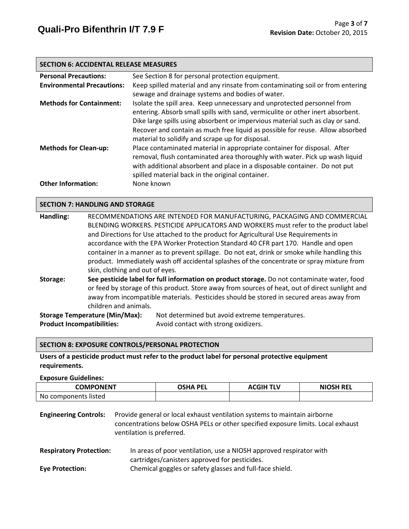#### **SECTION 6: ACCIDENTAL RELEASE MEASURES**

| <b>Personal Precautions:</b>      | See Section 8 for personal protection equipment.                               |
|-----------------------------------|--------------------------------------------------------------------------------|
| <b>Environmental Precautions:</b> | Keep spilled material and any rinsate from contaminating soil or from entering |
|                                   | sewage and drainage systems and bodies of water.                               |
| <b>Methods for Containment:</b>   | Isolate the spill area. Keep unnecessary and unprotected personnel from        |
|                                   | entering. Absorb small spills with sand, vermiculite or other inert absorbent. |
|                                   | Dike large spills using absorbent or impervious material such as clay or sand. |
|                                   | Recover and contain as much free liquid as possible for reuse. Allow absorbed  |
|                                   | material to solidify and scrape up for disposal.                               |
| <b>Methods for Clean-up:</b>      | Place contaminated material in appropriate container for disposal. After       |
|                                   | removal, flush contaminated area thoroughly with water. Pick up wash liquid    |
|                                   | with additional absorbent and place in a disposable container. Do not put      |
|                                   | spilled material back in the original container.                               |
| <b>Other Information:</b>         | None known                                                                     |

#### **SECTION 7: HANDLING AND STORAGE**

| Handling:                         | RECOMMENDATIONS ARE INTENDED FOR MANUFACTURING, PACKAGING AND COMMERCIAL |                                                                                                 |  |
|-----------------------------------|--------------------------------------------------------------------------|-------------------------------------------------------------------------------------------------|--|
|                                   |                                                                          | BLENDING WORKERS. PESTICIDE APPLICATORS AND WORKERS must refer to the product label             |  |
|                                   |                                                                          | and Directions for Use attached to the product for Agricultural Use Requirements in             |  |
|                                   |                                                                          | accordance with the EPA Worker Protection Standard 40 CFR part 170. Handle and open             |  |
|                                   |                                                                          | container in a manner as to prevent spillage. Do not eat, drink or smoke while handling this    |  |
|                                   |                                                                          | product. Immediately wash off accidental splashes of the concentrate or spray mixture from      |  |
|                                   | skin, clothing and out of eyes.                                          |                                                                                                 |  |
| Storage:                          |                                                                          | See pesticide label for full information on product storage. Do not contaminate water, food     |  |
|                                   |                                                                          | or feed by storage of this product. Store away from sources of heat, out of direct sunlight and |  |
|                                   |                                                                          | away from incompatible materials. Pesticides should be stored in secured areas away from        |  |
| children and animals.             |                                                                          |                                                                                                 |  |
|                                   | <b>Storage Temperature (Min/Max):</b>                                    | Not determined but avoid extreme temperatures.                                                  |  |
| <b>Product Incompatibilities:</b> |                                                                          | Avoid contact with strong oxidizers.                                                            |  |

#### **SECTION 8: EXPOSURE CONTROLS/PERSONAL PROTECTION**

### **Users of a pesticide product must refer to the product label for personal protective equipment requirements.**

**Exposure Guidelines:**

| <b>COMPONENT</b>     | <b>OSHA PEL</b> | <b>ACGIH TLV</b> | <b>NIOSH REL</b> |
|----------------------|-----------------|------------------|------------------|
| No components listed |                 |                  |                  |

| <b>Engineering Controls:</b> | Provide general or local exhaust ventilation systems to maintain airborne        |  |
|------------------------------|----------------------------------------------------------------------------------|--|
|                              | concentrations below OSHA PELs or other specified exposure limits. Local exhaust |  |
|                              | ventilation is preferred.                                                        |  |

**Respiratory Protection:** In areas of poor ventilation, use a NIOSH approved respirator with cartridges/canisters approved for pesticides. **Eye Protection:** Chemical goggles or safety glasses and full-face shield.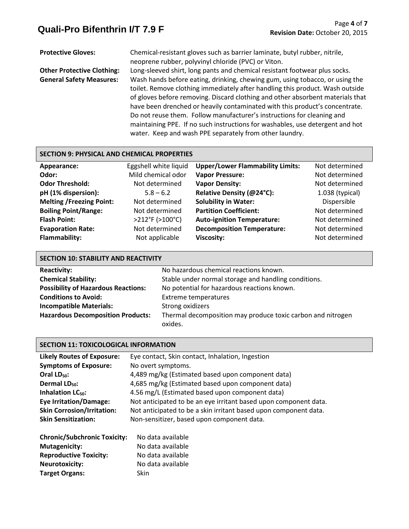**Protective Gloves:** Chemical-resistant gloves such as barrier laminate, butyl rubber, nitrile, neoprene rubber, polyvinyl chloride (PVC) or Viton. **Other Protective Clothing:** Long-sleeved shirt, long pants and chemical resistant footwear plus socks. **General Safety Measures:** Wash hands before eating, drinking, chewing gum, using tobacco, or using the toilet. Remove clothing immediately after handling this product. Wash outside of gloves before removing. Discard clothing and other absorbent materials that have been drenched or heavily contaminated with this product's concentrate. Do not reuse them. Follow manufacturer's instructions for cleaning and maintaining PPE. If no such instructions for washables, use detergent and hot water. Keep and wash PPE separately from other laundry.

# **SECTION 9: PHYSICAL AND CHEMICAL PROPERTIES**

| Appearance:                     | Eggshell white liquid | <b>Upper/Lower Flammability Limits:</b> | Not determined    |
|---------------------------------|-----------------------|-----------------------------------------|-------------------|
| Odor:                           | Mild chemical odor    | <b>Vapor Pressure:</b>                  | Not determined    |
| <b>Odor Threshold:</b>          | Not determined        | <b>Vapor Density:</b>                   | Not determined    |
| pH (1% dispersion):             | $5.8 - 6.2$           | Relative Density (@24°C):               | $1.038$ (typical) |
| <b>Melting /Freezing Point:</b> | Not determined        | <b>Solubility in Water:</b>             | Dispersible       |
| <b>Boiling Point/Range:</b>     | Not determined        | <b>Partition Coefficient:</b>           | Not determined    |
| <b>Flash Point:</b>             | >212°F (>100°C)       | <b>Auto-ignition Temperature:</b>       | Not determined    |
| <b>Evaporation Rate:</b>        | Not determined        | <b>Decomposition Temperature:</b>       | Not determined    |
| <b>Flammability:</b>            | Not applicable        | <b>Viscosity:</b>                       | Not determined    |
|                                 |                       |                                         |                   |

| <b>SECTION 10: STABILITY AND REACTIVITY</b> |                                                                        |  |
|---------------------------------------------|------------------------------------------------------------------------|--|
| <b>Reactivity:</b>                          | No hazardous chemical reactions known.                                 |  |
| <b>Chemical Stability:</b>                  | Stable under normal storage and handling conditions.                   |  |
| <b>Possibility of Hazardous Reactions:</b>  | No potential for hazardous reactions known.                            |  |
| <b>Conditions to Avoid:</b>                 | <b>Extreme temperatures</b>                                            |  |
| <b>Incompatible Materials:</b>              | Strong oxidizers                                                       |  |
| <b>Hazardous Decomposition Products:</b>    | Thermal decomposition may produce toxic carbon and nitrogen<br>oxides. |  |

#### **SECTION 11: TOXICOLOGICAL INFORMATION**

| <b>Likely Routes of Exposure:</b> | Eye contact, Skin contact, Inhalation, Ingestion                 |
|-----------------------------------|------------------------------------------------------------------|
| <b>Symptoms of Exposure:</b>      | No overt symptoms.                                               |
| Oral LD <sub>50</sub> :           | 4,489 mg/kg (Estimated based upon component data)                |
| Dermal LD <sub>50</sub> :         | 4,685 mg/kg (Estimated based upon component data)                |
| Inhalation LC <sub>50</sub> :     | 4.56 mg/L (Estimated based upon component data)                  |
| <b>Eye Irritation/Damage:</b>     | Not anticipated to be an eye irritant based upon component data. |
| <b>Skin Corrosion/Irritation:</b> | Not anticipated to be a skin irritant based upon component data. |
| <b>Skin Sensitization:</b>        | Non-sensitizer, based upon component data.                       |
|                                   |                                                                  |

| <b>Chronic/Subchronic Toxicity:</b> | No data available |
|-------------------------------------|-------------------|
| <b>Mutagenicity:</b>                | No data available |
| <b>Reproductive Toxicity:</b>       | No data available |
| <b>Neurotoxicity:</b>               | No data available |
| <b>Target Organs:</b>               | Skin              |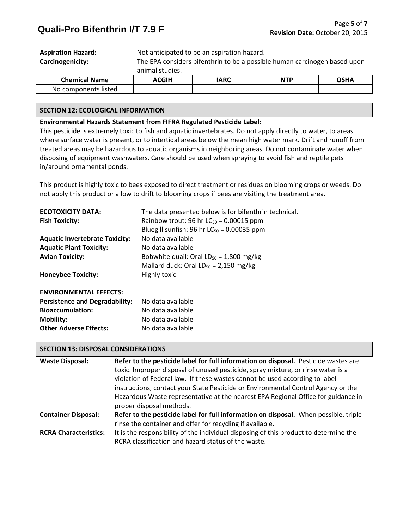|                           | 20011                                                                     | $\mathbf{A}$ |  | $\sim$ $\sim$ |
|---------------------------|---------------------------------------------------------------------------|--------------|--|---------------|
|                           | animal studies.                                                           |              |  |               |
| Carcinogenicity:          | The EPA considers bifenthrin to be a possible human carcinogen based upon |              |  |               |
| <b>Aspiration Hazard:</b> | Not anticipated to be an aspiration hazard.                               |              |  |               |

| <b>Chemical Name</b>     | CGIH | IARC<br>$\sim$ | <b>NTP</b> | י היא |
|--------------------------|------|----------------|------------|-------|
| components listed<br>NO. |      |                |            |       |

#### **SECTION 12: ECOLOGICAL INFORMATION**

#### **Environmental Hazards Statement from FIFRA Regulated Pesticide Label:**

This pesticide is extremely toxic to fish and aquatic invertebrates. Do not apply directly to water, to areas where surface water is present, or to intertidal areas below the mean high water mark. Drift and runoff from treated areas may be hazardous to aquatic organisms in neighboring areas. Do not contaminate water when disposing of equipment washwaters. Care should be used when spraying to avoid fish and reptile pets in/around ornamental ponds.

This product is highly toxic to bees exposed to direct treatment or residues on blooming crops or weeds. Do not apply this product or allow to drift to blooming crops if bees are visiting the treatment area.

| <b>ECOTOXICITY DATA:</b>              | The data presented below is for bifenthrin technical. |
|---------------------------------------|-------------------------------------------------------|
| <b>Fish Toxicity:</b>                 | Rainbow trout: 96 hr $LC_{50}$ = 0.00015 ppm          |
|                                       | Bluegill sunfish: 96 hr $LC_{50}$ = 0.00035 ppm       |
| <b>Aquatic Invertebrate Toxicity:</b> | No data available                                     |
| <b>Aquatic Plant Toxicity:</b>        | No data available                                     |
| <b>Avian Toxicity:</b>                | Bobwhite quail: Oral $LD_{50} = 1,800$ mg/kg          |
|                                       | Mallard duck: Oral $LD_{50} = 2,150$ mg/kg            |
| <b>Honeybee Toxicity:</b>             | Highly toxic                                          |
| <b>ENVIRONMENTAL EFFECTS:</b>         |                                                       |
| <b>Persistence and Degradability:</b> | No data available                                     |
| <b>Bioaccumulation:</b>               | No data available                                     |

**Mobility:** No data available **Other Adverse Effects:** No data available

| <b>SECTION 13: DISPOSAL CONSIDERATIONS</b> |                                                                                                                                                                                                                                                        |  |  |  |
|--------------------------------------------|--------------------------------------------------------------------------------------------------------------------------------------------------------------------------------------------------------------------------------------------------------|--|--|--|
| <b>Waste Disposal:</b>                     | Refer to the pesticide label for full information on disposal. Pesticide wastes are<br>toxic. Improper disposal of unused pesticide, spray mixture, or rinse water is a<br>violation of Federal law. If these wastes cannot be used according to label |  |  |  |
|                                            | instructions, contact your State Pesticide or Environmental Control Agency or the<br>Hazardous Waste representative at the nearest EPA Regional Office for guidance in<br>proper disposal methods.                                                     |  |  |  |
| <b>Container Disposal:</b>                 | Refer to the pesticide label for full information on disposal. When possible, triple<br>rinse the container and offer for recycling if available.                                                                                                      |  |  |  |
| <b>RCRA Characteristics:</b>               | It is the responsibility of the individual disposing of this product to determine the<br>RCRA classification and hazard status of the waste.                                                                                                           |  |  |  |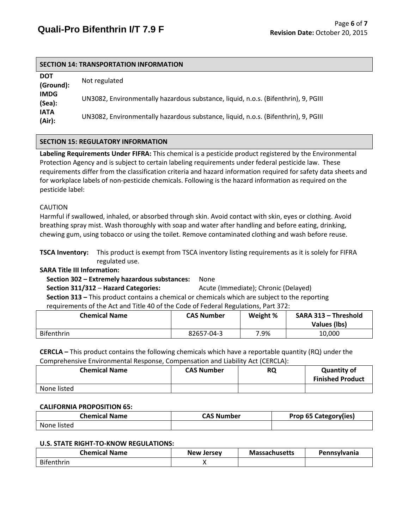### **SECTION 14: TRANSPORTATION INFORMATION**

| <b>DOT</b><br>(Ground): | Not regulated                                                                      |
|-------------------------|------------------------------------------------------------------------------------|
| <b>IMDG</b><br>(Sea):   | UN3082, Environmentally hazardous substance, liquid, n.o.s. (Bifenthrin), 9, PGIII |
| <b>IATA</b><br>(Air):   | UN3082, Environmentally hazardous substance, liquid, n.o.s. (Bifenthrin), 9, PGIII |

# **SECTION 15: REGULATORY INFORMATION**

**Labeling Requirements Under FIFRA:** This chemical is a pesticide product registered by the Environmental Protection Agency and is subject to certain labeling requirements under federal pesticide law. These requirements differ from the classification criteria and hazard information required for safety data sheets and for workplace labels of non-pesticide chemicals. Following is the hazard information as required on the pesticide label:

#### CAUTION

Harmful if swallowed, inhaled, or absorbed through skin. Avoid contact with skin, eyes or clothing. Avoid breathing spray mist. Wash thoroughly with soap and water after handling and before eating, drinking, chewing gum, using tobacco or using the toilet. Remove contaminated clothing and wash before reuse.

**TSCA Inventory:** This product is exempt from TSCA inventory listing requirements as it is solely for FIFRA regulated use.

### **SARA Title III Information:**

 **Section 302 – Extremely hazardous substances:** None **Section 311/312 – Hazard Categories:** Acute (Immediate); Chronic (Delayed)  **Section 313 –** This product contains a chemical or chemicals which are subject to the reporting requirements of the Act and Title 40 of the Code of Federal Regulations, Part 372:

| <b>Chemical Name</b> | <b>CAS Number</b> | Weight % | SARA 313 - Threshold |
|----------------------|-------------------|----------|----------------------|
|                      |                   |          | Values (lbs)         |
| Bifenthrin           | 82657-04-3        | 7.9%     | 10,000               |

**CERCLA –** This product contains the following chemicals which have a reportable quantity (RQ) under the Comprehensive Environmental Response, Compensation and Liability Act (CERCLA):

| <b>Chemical Name</b> | <b>CAS Number</b> | <b>RQ</b> | <b>Quantity of</b><br><b>Finished Product</b> |
|----------------------|-------------------|-----------|-----------------------------------------------|
| None listed          |                   |           |                                               |

#### **CALIFORNIA PROPOSITION 65:**

| Chemical Name | <b>CAS Number</b> | <b>Prop 65 Category(ies)</b> |
|---------------|-------------------|------------------------------|
| None listed   |                   |                              |

#### **U.S. STATE RIGHT-TO-KNOW REGULATIONS:**

| <b>Chemical Name</b> | <b>New Jersey</b> | <b>Massachusetts</b> | <b>Pennsylvania</b> |
|----------------------|-------------------|----------------------|---------------------|
| Bifenthrin           |                   |                      |                     |